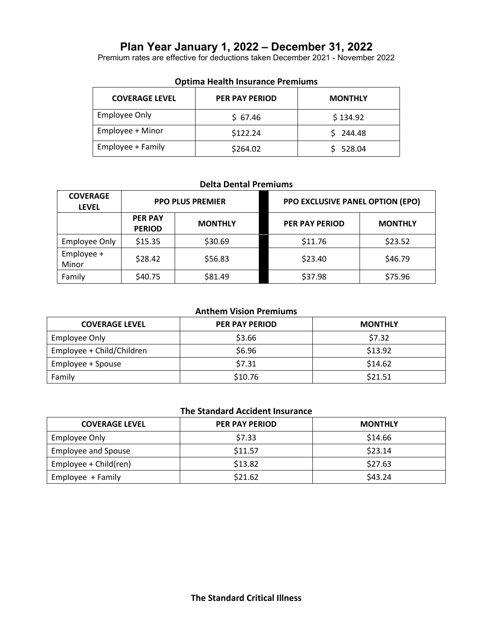# **Plan Year January 1, 2022 – December 31, 2022**

Premium rates are effective for deductions taken December 2021 - November 2022

| <b>COVERAGE LEVEL</b> | <b>PER PAY PERIOD</b> | <b>MONTHLY</b> |
|-----------------------|-----------------------|----------------|
| Employee Only         | \$67.46               | \$134.92       |
| Employee + Minor      | \$122.24              | \$244.48       |
| Employee + Family     | \$264.02              | \$528.04       |

#### **Optima Health Insurance Premiums**

### **Delta Dental Premiums**

| <b>COVERAGE</b><br><b>LEVEL</b> | <b>PPO PLUS PREMIER</b>         |                | PPO EXCLUSIVE PANEL OPTION (EPO) |                |
|---------------------------------|---------------------------------|----------------|----------------------------------|----------------|
|                                 | <b>PER PAY</b><br><b>PERIOD</b> | <b>MONTHLY</b> | <b>PER PAY PERIOD</b>            | <b>MONTHLY</b> |
| <b>Employee Only</b>            | \$15.35                         | \$30.69        | \$11.76                          | \$23.52        |
| Employee +<br>Minor             | \$28.42                         | \$56.83        | \$23.40                          | \$46.79        |
| Family                          | \$40.75                         | \$81.49        | \$37.98                          | \$75.96        |

### **Anthem Vision Premiums**

| <b>COVERAGE LEVEL</b>     | <b>PER PAY PERIOD</b> | <b>MONTHLY</b> |
|---------------------------|-----------------------|----------------|
| Employee Only             | \$3.66                | \$7.32         |
| Employee + Child/Children | \$6.96                | \$13.92        |
| Employee + Spouse         | \$7.31                | \$14.62        |
| Family                    | \$10.76               | \$21.51        |

# **The Standard Accident Insurance**

| <b>COVERAGE LEVEL</b>      | PER PAY PERIOD | <b>MONTHLY</b> |
|----------------------------|----------------|----------------|
| Employee Only              | \$7.33         | \$14.66        |
| <b>Employee and Spouse</b> | \$11.57        | \$23.14        |
| Employee + Child(ren)      | \$13.82        | \$27.63        |
| Employee + Family          | \$21.62        | \$43.24        |